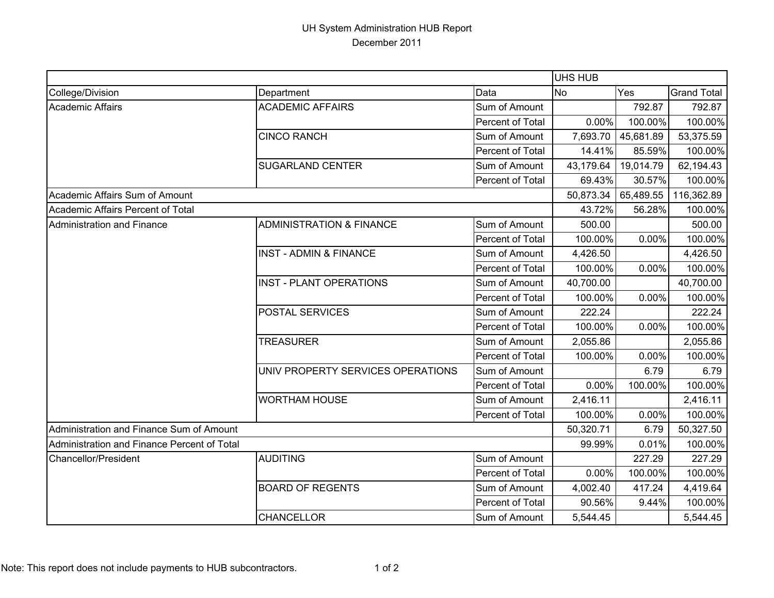## UH System Administration HUB Report December 2011

|                                             |                                     |                  | <b>UHS HUB</b> |                     |                    |
|---------------------------------------------|-------------------------------------|------------------|----------------|---------------------|--------------------|
| College/Division                            | Department                          | Data             | <b>No</b>      | Yes                 | <b>Grand Total</b> |
| <b>Academic Affairs</b>                     | <b>ACADEMIC AFFAIRS</b>             | Sum of Amount    |                | 792.87              | 792.87             |
|                                             |                                     | Percent of Total | 0.00%          | 100.00%             | 100.00%            |
|                                             | <b>CINCO RANCH</b>                  | Sum of Amount    | 7,693.70       | 45,681.89           | 53,375.59          |
|                                             |                                     | Percent of Total | 14.41%         | 85.59%              | 100.00%            |
|                                             | <b>SUGARLAND CENTER</b>             | Sum of Amount    | 43,179.64      | 19,014.79           | 62,194.43          |
|                                             |                                     | Percent of Total | 69.43%         | 30.57%              | 100.00%            |
| Academic Affairs Sum of Amount              |                                     |                  |                | 50,873.34 65,489.55 | 116,362.89         |
| Academic Affairs Percent of Total           |                                     |                  | 43.72%         | 56.28%              | 100.00%            |
| <b>Administration and Finance</b>           | <b>ADMINISTRATION &amp; FINANCE</b> | Sum of Amount    | 500.00         |                     | 500.00             |
|                                             |                                     | Percent of Total | 100.00%        | 0.00%               | 100.00%            |
|                                             | <b>INST - ADMIN &amp; FINANCE</b>   | Sum of Amount    | 4,426.50       |                     | 4,426.50           |
|                                             |                                     | Percent of Total | 100.00%        | 0.00%               | 100.00%            |
|                                             | <b>INST - PLANT OPERATIONS</b>      | Sum of Amount    | 40,700.00      |                     | 40,700.00          |
|                                             |                                     | Percent of Total | 100.00%        | 0.00%               | 100.00%            |
|                                             | POSTAL SERVICES                     | Sum of Amount    | 222.24         |                     | 222.24             |
|                                             |                                     | Percent of Total | 100.00%        | 0.00%               | 100.00%            |
|                                             | <b>TREASURER</b>                    | Sum of Amount    | 2,055.86       |                     | 2,055.86           |
|                                             |                                     | Percent of Total | 100.00%        | 0.00%               | 100.00%            |
|                                             | UNIV PROPERTY SERVICES OPERATIONS   | Sum of Amount    |                | 6.79                | 6.79               |
|                                             |                                     | Percent of Total | 0.00%          | 100.00%             | 100.00%            |
|                                             | <b>WORTHAM HOUSE</b>                | Sum of Amount    | 2,416.11       |                     | 2,416.11           |
|                                             |                                     | Percent of Total | 100.00%        | 0.00%               | 100.00%            |
| Administration and Finance Sum of Amount    |                                     |                  | 50,320.71      | 6.79                | 50,327.50          |
| Administration and Finance Percent of Total |                                     |                  | 99.99%         | 0.01%               | 100.00%            |
| <b>Chancellor/President</b>                 | <b>AUDITING</b>                     | Sum of Amount    |                | 227.29              | 227.29             |
|                                             |                                     | Percent of Total | 0.00%          | 100.00%             | 100.00%            |
|                                             | <b>BOARD OF REGENTS</b>             | Sum of Amount    | 4,002.40       | 417.24              | 4,419.64           |
|                                             |                                     | Percent of Total | 90.56%         | 9.44%               | 100.00%            |
|                                             | <b>CHANCELLOR</b>                   | Sum of Amount    | 5,544.45       |                     | 5,544.45           |